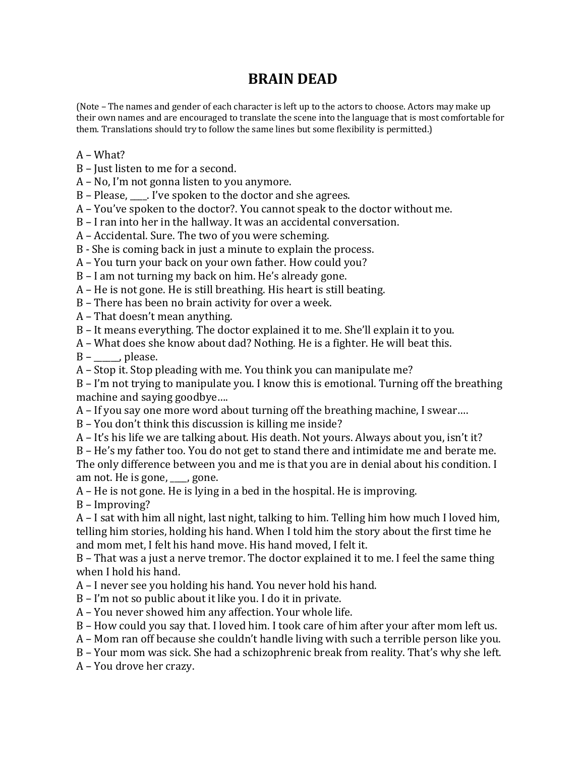## **BRAIN DEAD**

(Note – The names and gender of each character is left up to the actors to choose. Actors may make up their own names and are encouraged to translate the scene into the language that is most comfortable for them. Translations should try to follow the same lines but some flexibility is permitted.)

## A – What?

 $B$  – Just listen to me for a second.

 $A - No$ , I'm not gonna listen to you anymore.

 $B$  – Please,  $\Box$ . I've spoken to the doctor and she agrees.

A - You've spoken to the doctor?. You cannot speak to the doctor without me.

 $B - I$  ran into her in the hallway. It was an accidental conversation.

A - Accidental. Sure. The two of you were scheming.

B - She is coming back in just a minute to explain the process.

A - You turn your back on your own father. How could you?

 $B - I$  am not turning my back on him. He's already gone.

 $A$  – He is not gone. He is still breathing. His heart is still beating.

 $B$  – There has been no brain activity for over a week.

 $A$  – That doesn't mean anything.

B - It means everything. The doctor explained it to me. She'll explain it to you.

A – What does she know about dad? Nothing. He is a fighter. He will beat this.

 $B -$ , please.

 $A$  – Stop it. Stop pleading with me. You think you can manipulate me?

 $B - I'm$  not trying to manipulate you. I know this is emotional. Turning off the breathing machine and saying goodbye....

 $A$  – If you say one more word about turning off the breathing machine, I swear....

B - You don't think this discussion is killing me inside?

A – It's his life we are talking about. His death. Not yours. Always about you, isn't it?

B – He's my father too. You do not get to stand there and intimidate me and berate me. The only difference between you and me is that you are in denial about his condition. I am not. He is gone,  $\Box$ , gone.

 $A$  – He is not gone. He is lying in a bed in the hospital. He is improving.

B – Improving?

 $A$  – I sat with him all night, last night, talking to him. Telling him how much I loved him, telling him stories, holding his hand. When I told him the story about the first time he and mom met, I felt his hand move. His hand moved, I felt it.

B - That was a just a nerve tremor. The doctor explained it to me. I feel the same thing when I hold his hand.

A - I never see you holding his hand. You never hold his hand.

 $B - I'm$  not so public about it like you. I do it in private.

A – You never showed him any affection. Your whole life.

B - How could you say that. I loved him. I took care of him after your after mom left us.

A – Mom ran off because she couldn't handle living with such a terrible person like you.

B - Your mom was sick. She had a schizophrenic break from reality. That's why she left.

A - You drove her crazy.